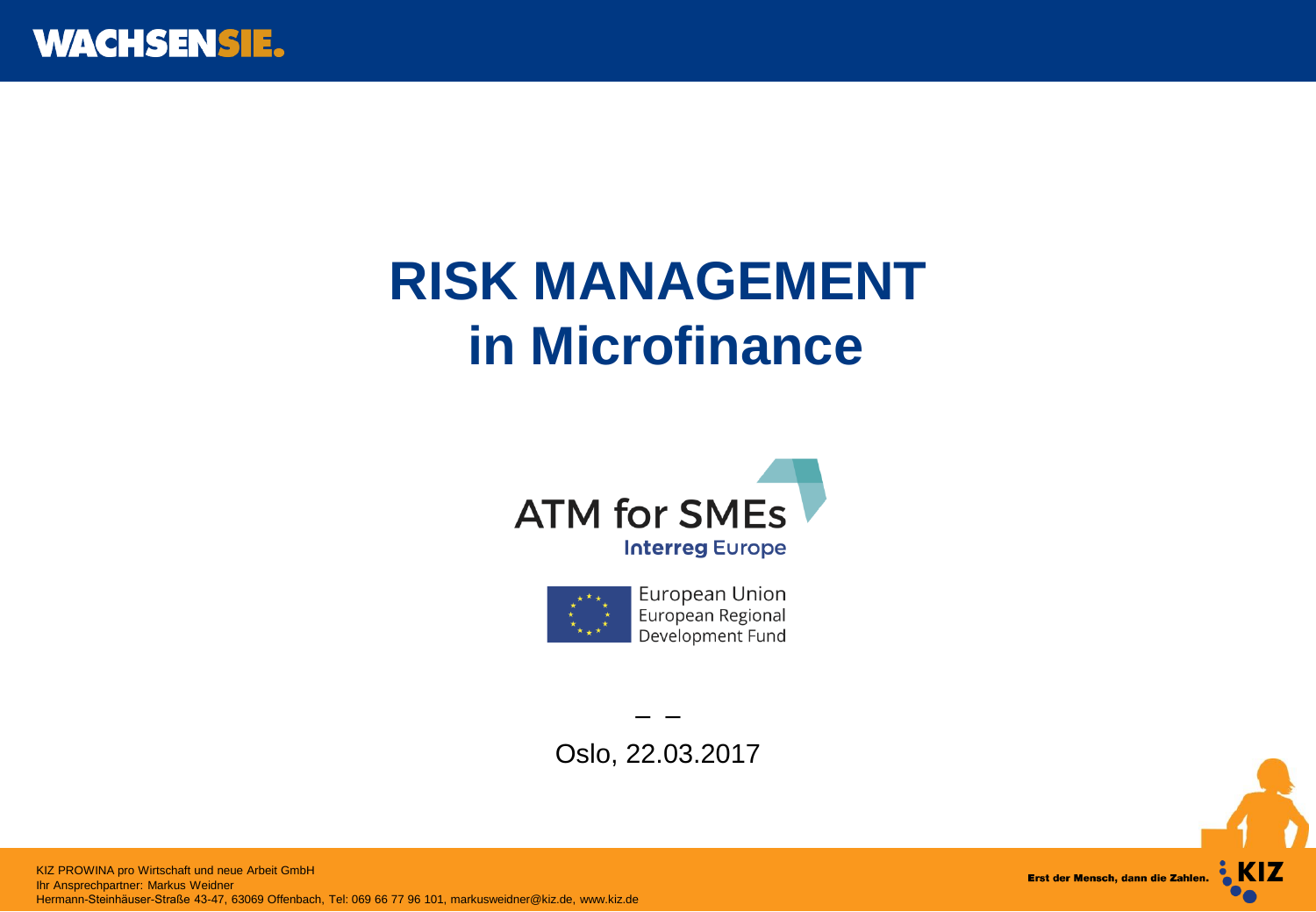

# **RISK MANAGEMENT in Microfinance**





– – Oslo, 22.03.2017

 KIZ AG Hermann-Steinhäuser-Straße 43-47, 63069 Offenbach, Tel: 069 66 77 96 101, markusweidner@kiz.de, www.kiz.deKIZ PROWINA pro Wirtschaft und neue Arbeit GmbH Ihr Ansprechpartner: Markus Weidner

**EXIZ** Erst der Mensch, dann die Zahlen.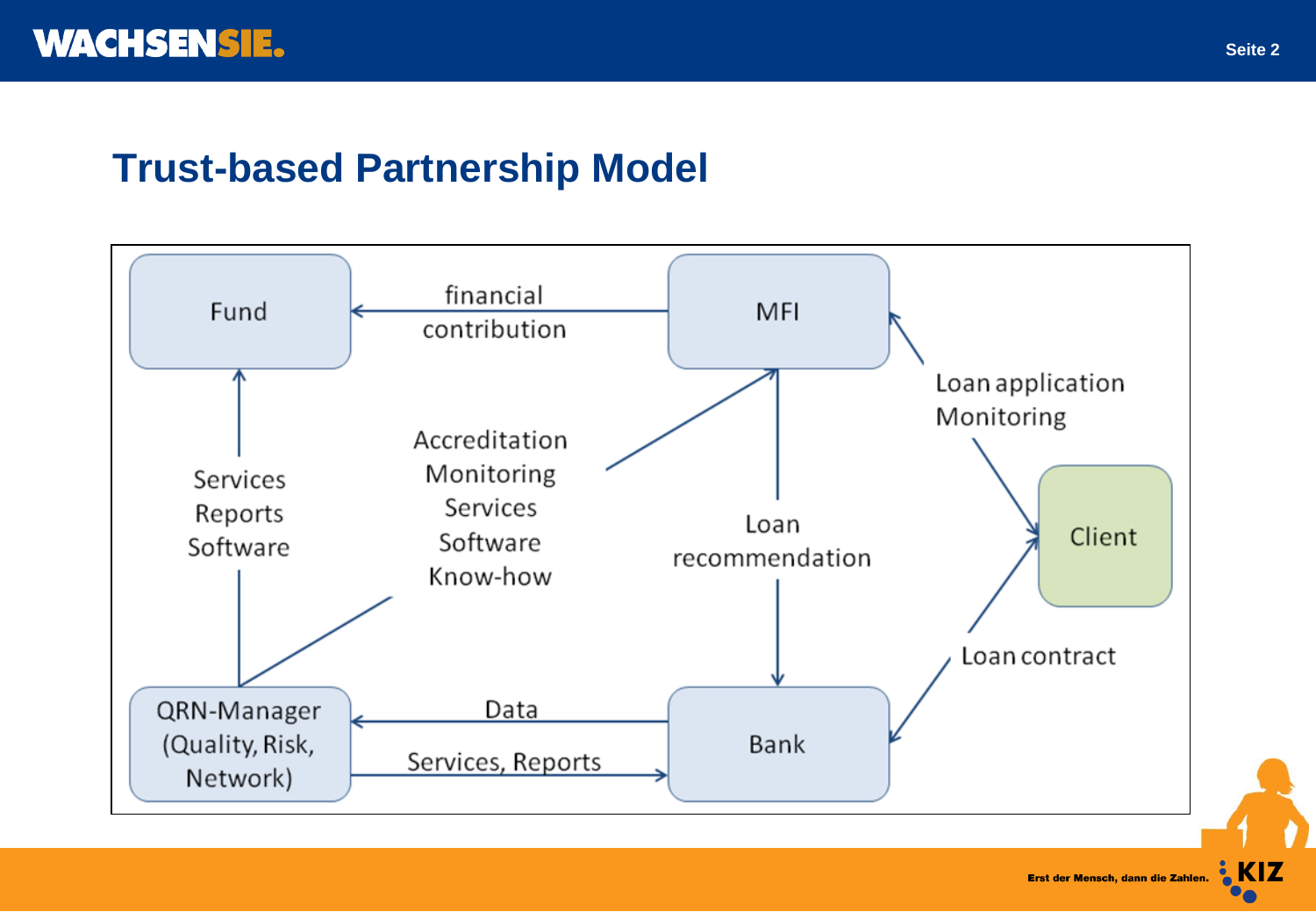### **Trust-based Partnership Model**



Erst der Mensch, dann die Zahlen. EXIZ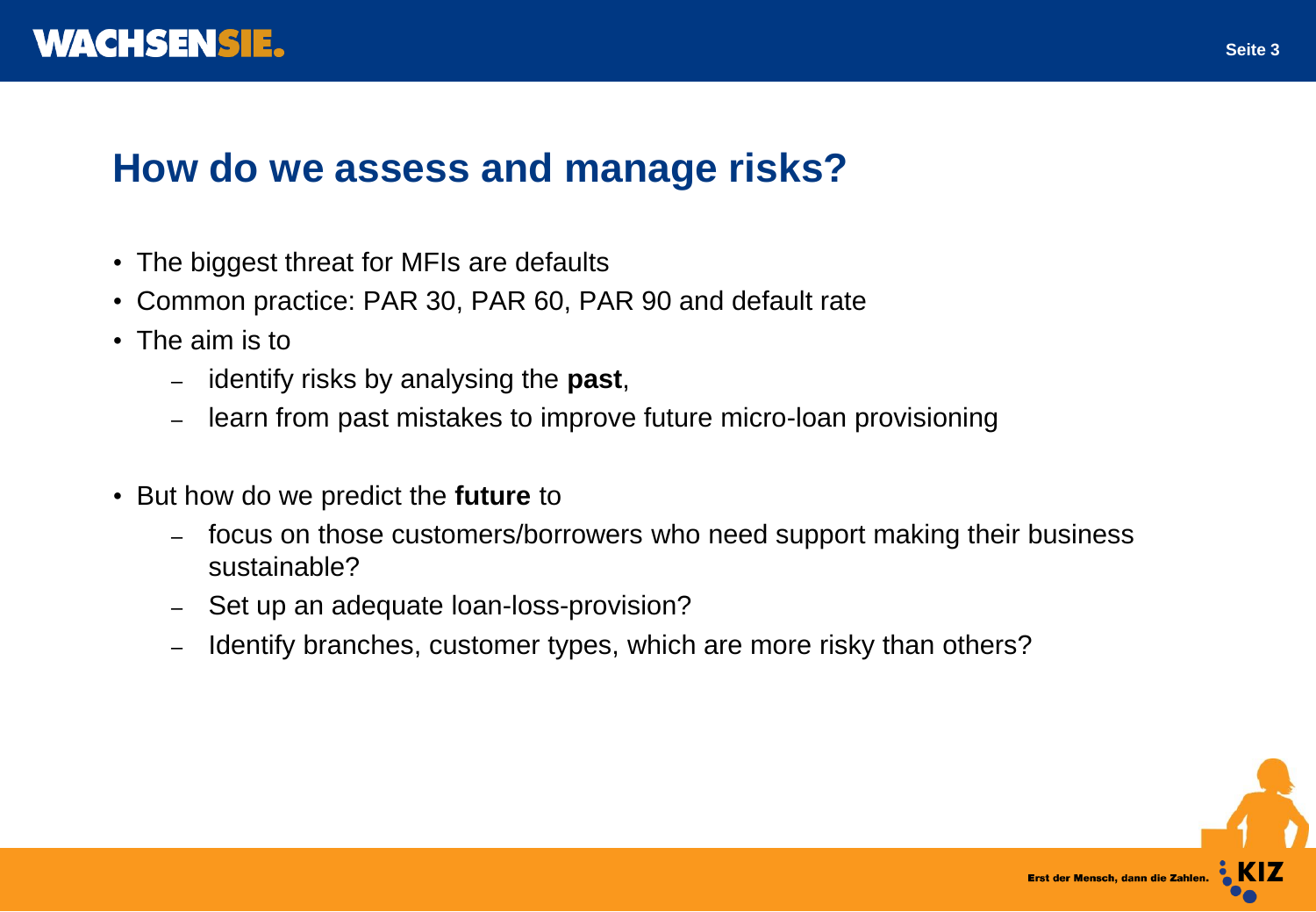

#### **How do we assess and manage risks?**

- The biggest threat for MFIs are defaults
- Common practice: PAR 30, PAR 60, PAR 90 and default rate
- The aim is to
	- identify risks by analysing the **past**,
	- learn from past mistakes to improve future micro-loan provisioning
- But how do we predict the **future** to
	- focus on those customers/borrowers who need support making their business sustainable?
	- Set up an adequate loan-loss-provision?
	- Identify branches, customer types, which are more risky than others?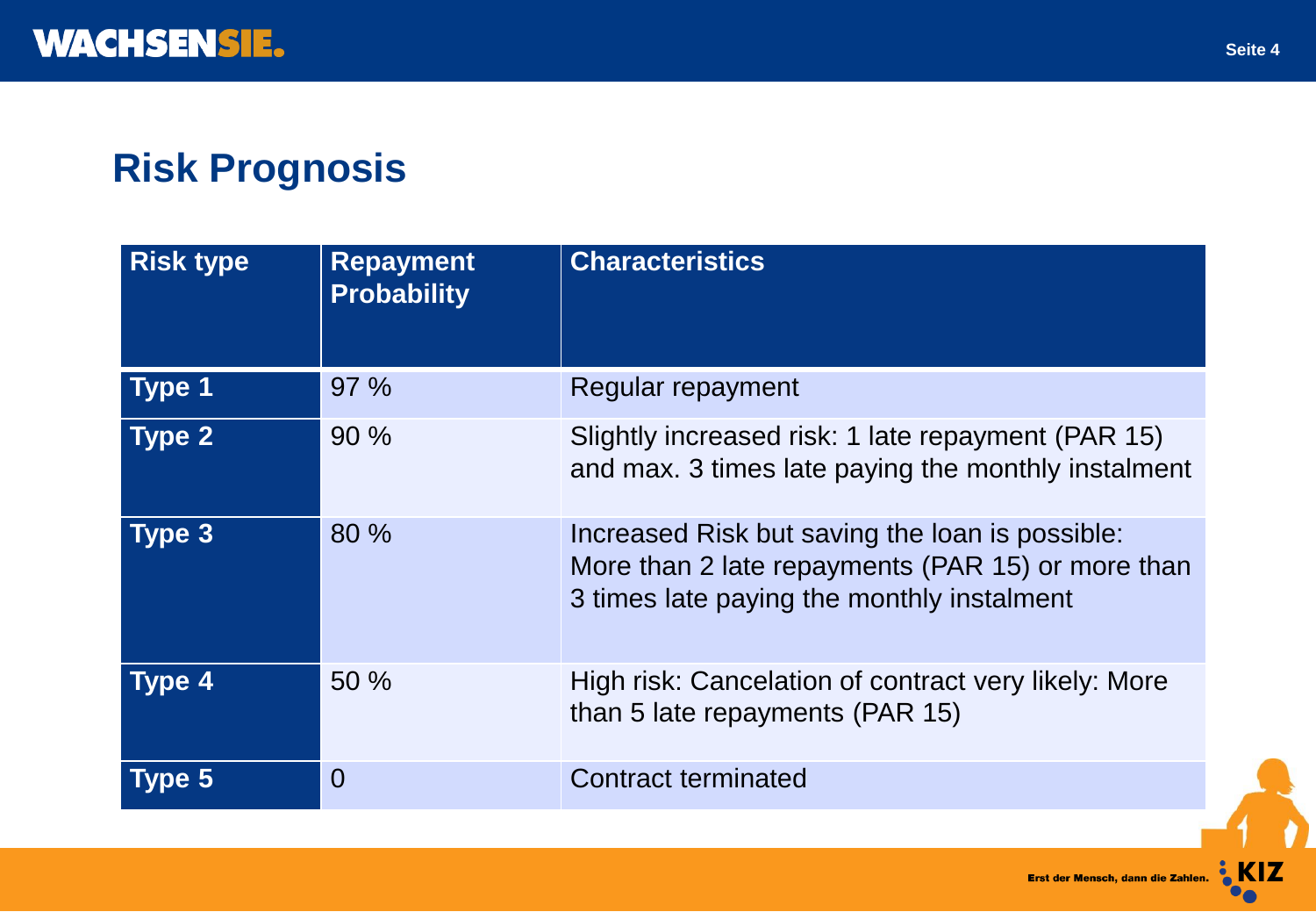# **Risk Prognosis**

| <b>Risk type</b> | <b>Repayment</b><br><b>Probability</b> | <b>Characteristics</b>                                                                                                                             |
|------------------|----------------------------------------|----------------------------------------------------------------------------------------------------------------------------------------------------|
| Type 1           | 97%                                    | Regular repayment                                                                                                                                  |
| Type 2           | 90%                                    | Slightly increased risk: 1 late repayment (PAR 15)<br>and max. 3 times late paying the monthly instalment                                          |
| Type 3           | 80 %                                   | Increased Risk but saving the loan is possible:<br>More than 2 late repayments (PAR 15) or more than<br>3 times late paying the monthly instalment |
| <b>Type 4</b>    | 50%                                    | High risk: Cancelation of contract very likely: More<br>than 5 late repayments (PAR 15)                                                            |
| Type 5           | $\overline{0}$                         | <b>Contract terminated</b>                                                                                                                         |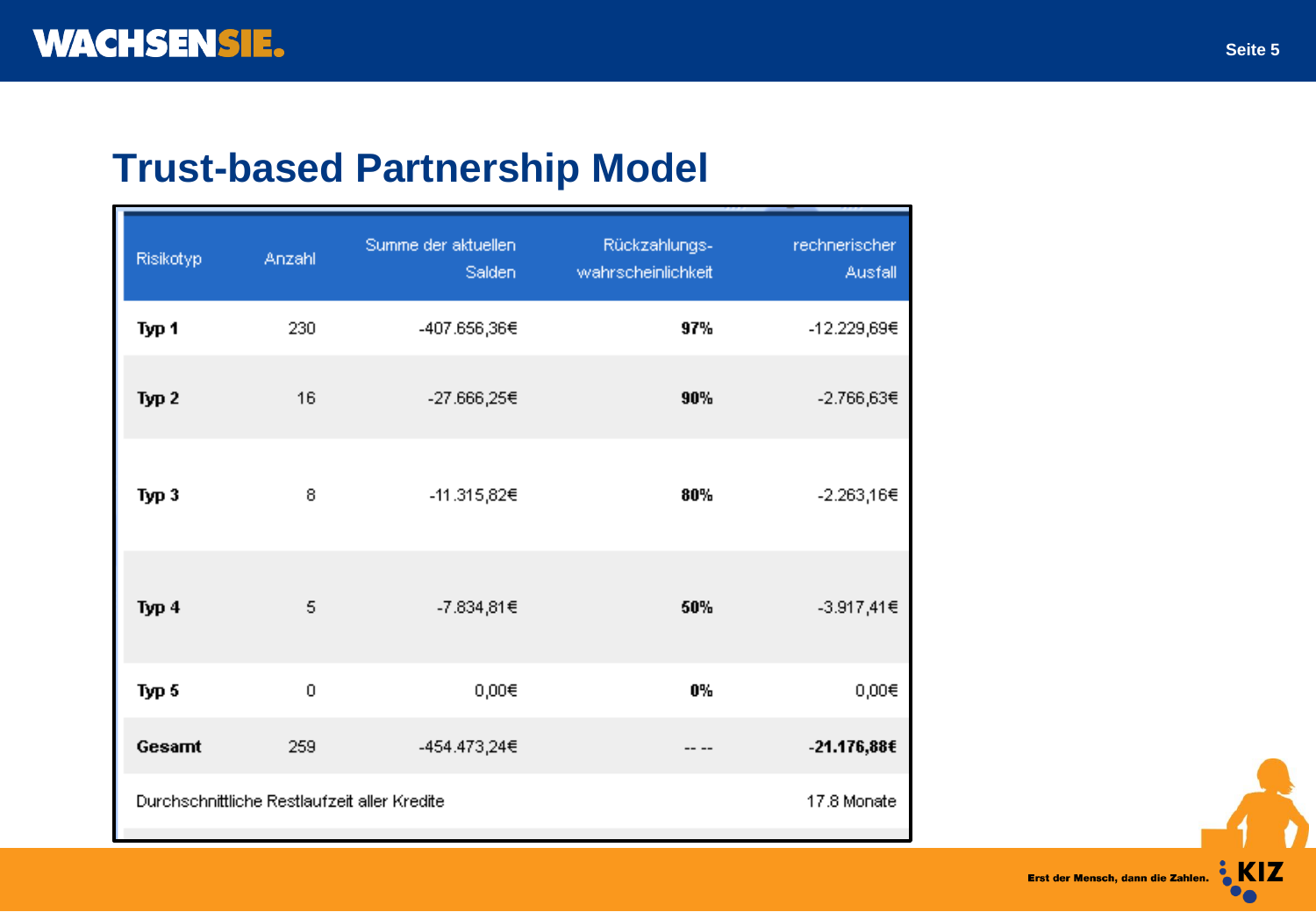## **Trust-based Partnership Model**

| Risikotyp                                    | Anzahl | Summe der aktuellen<br>Salden | Rückzahlungs-<br>wahrscheinlichkeit | rechnerischer<br>Ausfall |
|----------------------------------------------|--------|-------------------------------|-------------------------------------|--------------------------|
| Typ 1                                        | 230    | -407.656,36€                  | 97%                                 | -12.229,69€              |
| Typ <sub>2</sub>                             | 16     | -27.666,25€                   | 90%                                 | -2.766,63€               |
| Тур 3                                        | 8      | -11.315,82€                   | 80%                                 | -2.263,16€               |
| Тур 4                                        | 5      | -7.834,81€                    | 50%                                 | -3.917,41€               |
| Typ 5                                        | 0      | $0,00 \in$                    | 0%                                  | 0,00€                    |
| Gesamt                                       | 259    | -454.473,24€                  |                                     | -21.176,88€              |
| Durchschnittliche Restlaufzeit aller Kredite |        | 17.8 Monate                   |                                     |                          |

Erst der Mensch, dann die Zahlen.